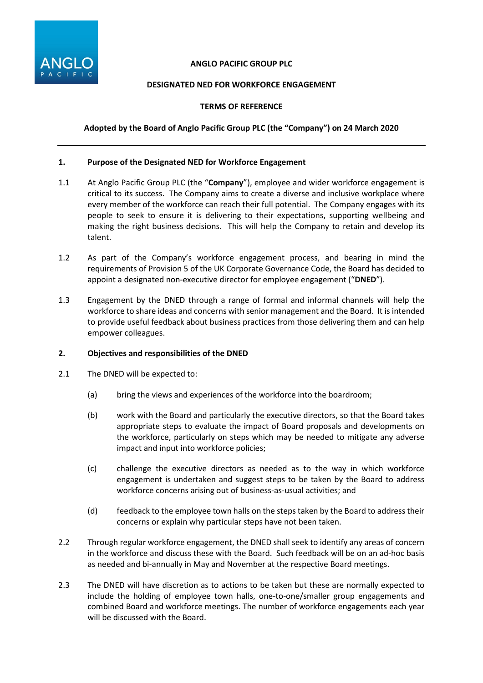

## **ANGLO PACIFIC GROUP PLC**

## **DESIGNATED NED FOR WORKFORCE ENGAGEMENT**

## **TERMS OF REFERENCE**

# **Adopted by the Board of Anglo Pacific Group PLC (the "Company") on 24 March 2020**

## **1. Purpose of the Designated NED for Workforce Engagement**

- 1.1 At Anglo Pacific Group PLC (the "**Company**"), employee and wider workforce engagement is critical to its success. The Company aims to create a diverse and inclusive workplace where every member of the workforce can reach their full potential. The Company engages with its people to seek to ensure it is delivering to their expectations, supporting wellbeing and making the right business decisions. This will help the Company to retain and develop its talent.
- 1.2 As part of the Company's workforce engagement process, and bearing in mind the requirements of Provision 5 of the UK Corporate Governance Code, the Board has decided to appoint a designated non-executive director for employee engagement ("**DNED**").
- 1.3 Engagement by the DNED through a range of formal and informal channels will help the workforce to share ideas and concerns with senior management and the Board. It is intended to provide useful feedback about business practices from those delivering them and can help empower colleagues.

## **2. Objectives and responsibilities of the DNED**

- 2.1 The DNED will be expected to:
	- (a) bring the views and experiences of the workforce into the boardroom;
	- (b) work with the Board and particularly the executive directors, so that the Board takes appropriate steps to evaluate the impact of Board proposals and developments on the workforce, particularly on steps which may be needed to mitigate any adverse impact and input into workforce policies;
	- (c) challenge the executive directors as needed as to the way in which workforce engagement is undertaken and suggest steps to be taken by the Board to address workforce concerns arising out of business-as-usual activities; and
	- (d) feedback to the employee town halls on the steps taken by the Board to address their concerns or explain why particular steps have not been taken.
- 2.2 Through regular workforce engagement, the DNED shall seek to identify any areas of concern in the workforce and discuss these with the Board. Such feedback will be on an ad-hoc basis as needed and bi-annually in May and November at the respective Board meetings.
- 2.3 The DNED will have discretion as to actions to be taken but these are normally expected to include the holding of employee town halls, one-to-one/smaller group engagements and combined Board and workforce meetings. The number of workforce engagements each year will be discussed with the Board.